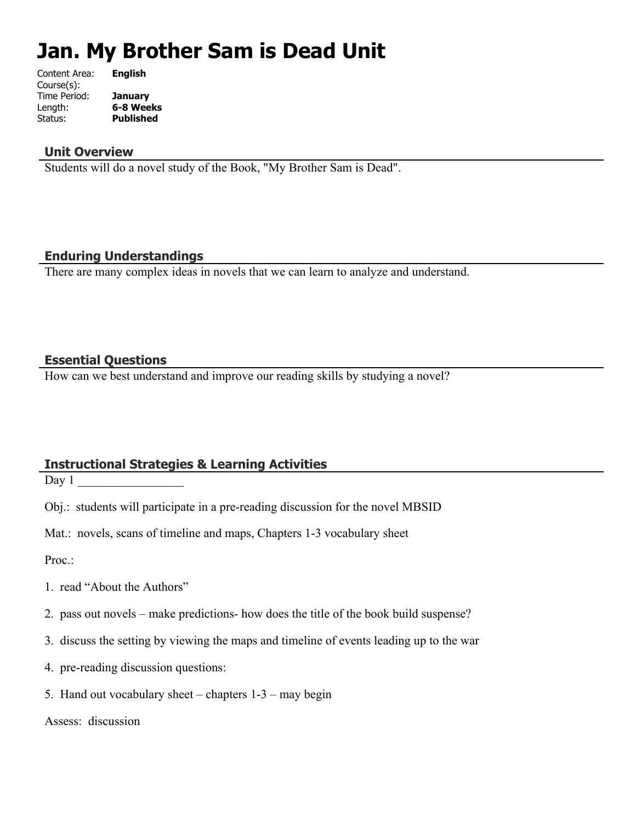# **Jan. My Brother Sam is Dead Unit**

| Content Area: | <b>English</b>   |
|---------------|------------------|
| Course(s):    |                  |
| Time Period:  | <b>January</b>   |
| Length:       | 6-8 Weeks        |
| Status:       | <b>Published</b> |
|               |                  |

#### **Unit Overview**

Students will do a novel study of the Book, "My Brother Sam is Dead".

## **Enduring Understandings**

There are many complex ideas in novels that we can learn to analyze and understand.

#### **Essential Questions**

How can we best understand and improve our reading skills by studying a novel?

## **Instructional Strategies & Learning Activities**

 $Day 1$ 

Obj.: students will participate in a pre-reading discussion for the novel MBSID

Mat.: novels, scans of timeline and maps, Chapters 1-3 vocabulary sheet

Proc.:

- 1. read "About the Authors"
- 2. pass out novels make predictions- how does the title of the book build suspense?
- 3. discuss the setting by viewing the maps and timeline of events leading up to the war
- 4. pre-reading discussion questions:
- 5. Hand out vocabulary sheet chapters 1-3 may begin

Assess: discussion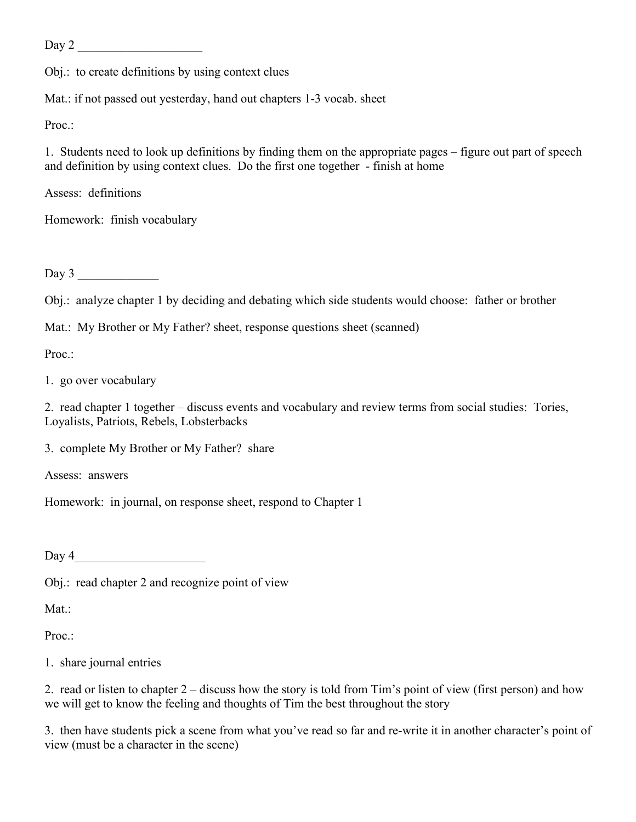Day 2 \_\_\_\_\_\_\_\_\_\_\_\_\_\_\_\_\_\_\_\_

Obj.: to create definitions by using context clues

Mat.: if not passed out yesterday, hand out chapters 1-3 vocab. sheet

Proc.:

1. Students need to look up definitions by finding them on the appropriate pages – figure out part of speech and definition by using context clues. Do the first one together - finish at home

Assess: definitions

Homework: finish vocabulary

Day  $3$ 

Obj.: analyze chapter 1 by deciding and debating which side students would choose: father or brother

Mat.: My Brother or My Father? sheet, response questions sheet (scanned)

Proc.:

1. go over vocabulary

2. read chapter 1 together – discuss events and vocabulary and review terms from social studies: Tories, Loyalists, Patriots, Rebels, Lobsterbacks

3. complete My Brother or My Father? share

Assess: answers

Homework: in journal, on response sheet, respond to Chapter 1

 $Day 4$ 

Obj.: read chapter 2 and recognize point of view

Mat.:

Proc.

1. share journal entries

2. read or listen to chapter 2 – discuss how the story is told from Tim's point of view (first person) and how we will get to know the feeling and thoughts of Tim the best throughout the story

3. then have students pick a scene from what you've read so far and re-write it in another character's point of view (must be a character in the scene)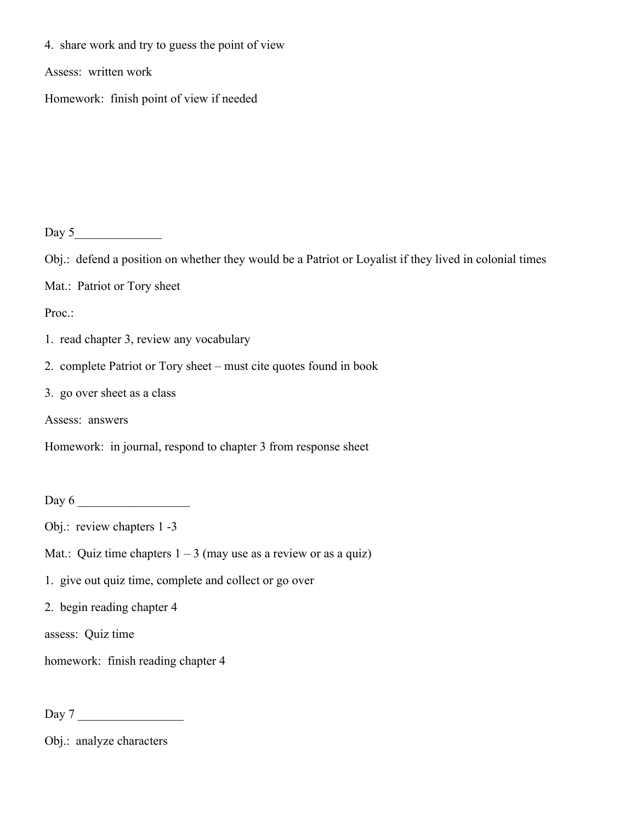4. share work and try to guess the point of view

Assess: written work

Homework: finish point of view if needed

Day 5\_\_\_\_\_\_\_\_\_\_\_\_\_\_

Obj.: defend a position on whether they would be a Patriot or Loyalist if they lived in colonial times

Mat.: Patriot or Tory sheet

Proc.:

- 1. read chapter 3, review any vocabulary
- 2. complete Patriot or Tory sheet must cite quotes found in book
- 3. go over sheet as a class
- Assess: answers

Homework: in journal, respond to chapter 3 from response sheet

Day 6 \_\_\_\_\_\_\_\_\_\_\_\_\_\_\_\_\_\_

- Obj.: review chapters 1 -3
- Mat.: Quiz time chapters  $1 3$  (may use as a review or as a quiz)
- 1. give out quiz time, complete and collect or go over

2. begin reading chapter 4

assess: Quiz time

homework: finish reading chapter 4

Day 7

Obj.: analyze characters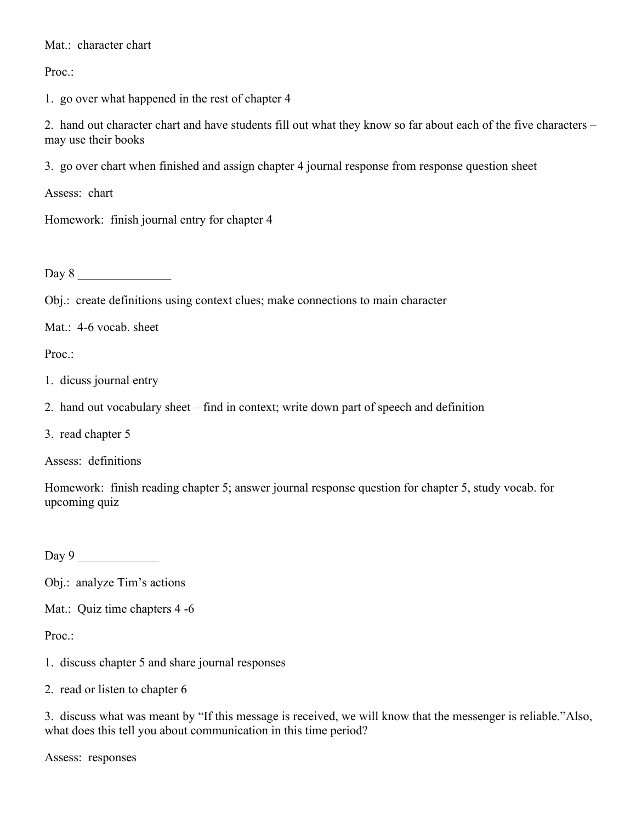Mat.: character chart

Proc.:

1. go over what happened in the rest of chapter 4

2. hand out character chart and have students fill out what they know so far about each of the five characters – may use their books

3. go over chart when finished and assign chapter 4 journal response from response question sheet

Assess: chart

Homework: finish journal entry for chapter 4

 $Day 8$ 

Obj.: create definitions using context clues; make connections to main character

Mat.: 4-6 vocab. sheet

Proc.:

- 1. dicuss journal entry
- 2. hand out vocabulary sheet find in context; write down part of speech and definition
- 3. read chapter 5

Assess: definitions

Homework: finish reading chapter 5; answer journal response question for chapter 5, study vocab. for upcoming quiz

Day  $9$ 

Obj.: analyze Tim's actions

Mat.: Quiz time chapters 4 -6

Proc.

- 1. discuss chapter 5 and share journal responses
- 2. read or listen to chapter 6

3. discuss what was meant by "If this message is received, we will know that the messenger is reliable."Also, what does this tell you about communication in this time period?

Assess: responses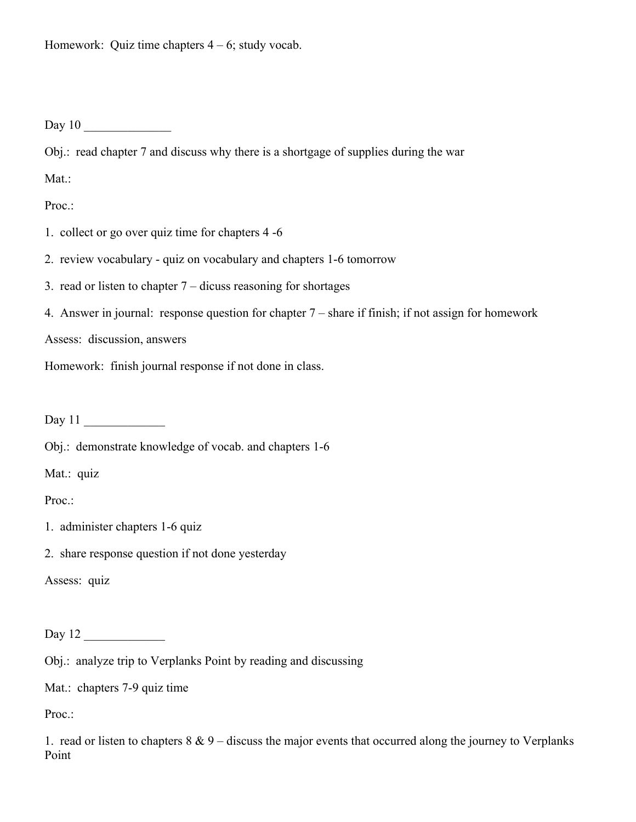Homework: Quiz time chapters  $4 - 6$ ; study vocab.

Day  $10$ 

Obj.: read chapter 7 and discuss why there is a shortgage of supplies during the war

Mat.:

Proc.:

- 1. collect or go over quiz time for chapters 4 -6
- 2. review vocabulary quiz on vocabulary and chapters 1-6 tomorrow
- 3. read or listen to chapter  $7$  dicuss reasoning for shortages
- 4. Answer in journal: response question for chapter 7 share if finish; if not assign for homework

Assess: discussion, answers

Homework: finish journal response if not done in class.

Day 11

Obj.: demonstrate knowledge of vocab. and chapters 1-6

Mat.: quiz

Proc.:

- 1. administer chapters 1-6 quiz
- 2. share response question if not done yesterday

Assess: quiz

Day  $12$ 

Obj.: analyze trip to Verplanks Point by reading and discussing

Mat.: chapters 7-9 quiz time

Proc.:

1. read or listen to chapters  $8 \& 9$  – discuss the major events that occurred along the journey to Verplanks Point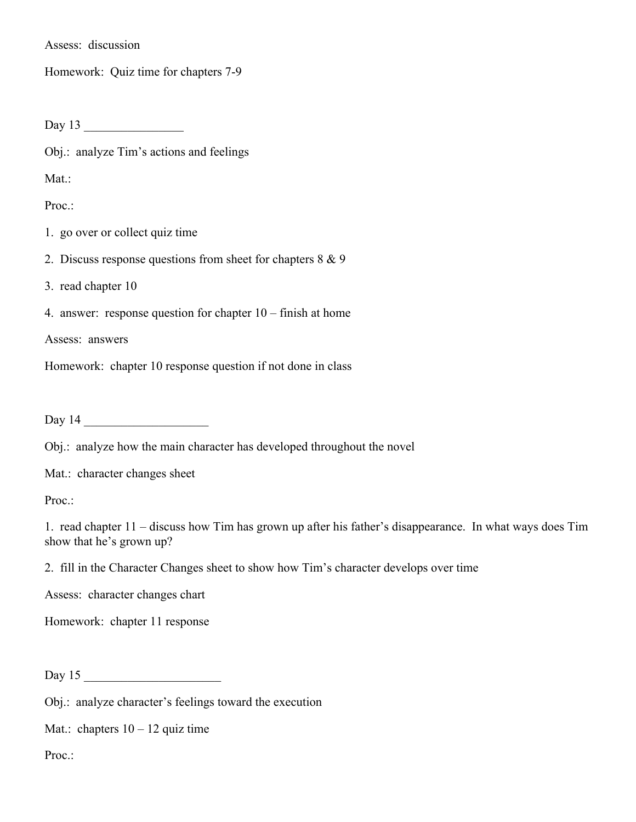Assess: discussion

Homework: Quiz time for chapters 7-9

Day 13 \_\_\_\_\_\_\_\_\_\_\_\_\_\_\_\_

Obj.: analyze Tim's actions and feelings

Mat.:

Proc.:

- 1. go over or collect quiz time
- 2. Discuss response questions from sheet for chapters 8 & 9

3. read chapter 10

4. answer: response question for chapter 10 – finish at home

Assess: answers

Homework: chapter 10 response question if not done in class

Day 14 \_\_\_\_\_\_\_\_\_\_\_\_\_\_\_\_\_\_\_\_

Obj.: analyze how the main character has developed throughout the novel

Mat.: character changes sheet

Proc.:

1. read chapter 11 – discuss how Tim has grown up after his father's disappearance. In what ways does Tim show that he's grown up?

2. fill in the Character Changes sheet to show how Tim's character develops over time

Assess: character changes chart

Homework: chapter 11 response

Day 15 \_\_\_\_\_\_\_\_\_\_\_\_\_\_\_\_\_\_\_\_\_\_

Obj.: analyze character's feelings toward the execution

Mat.: chapters  $10 - 12$  quiz time

Proc.: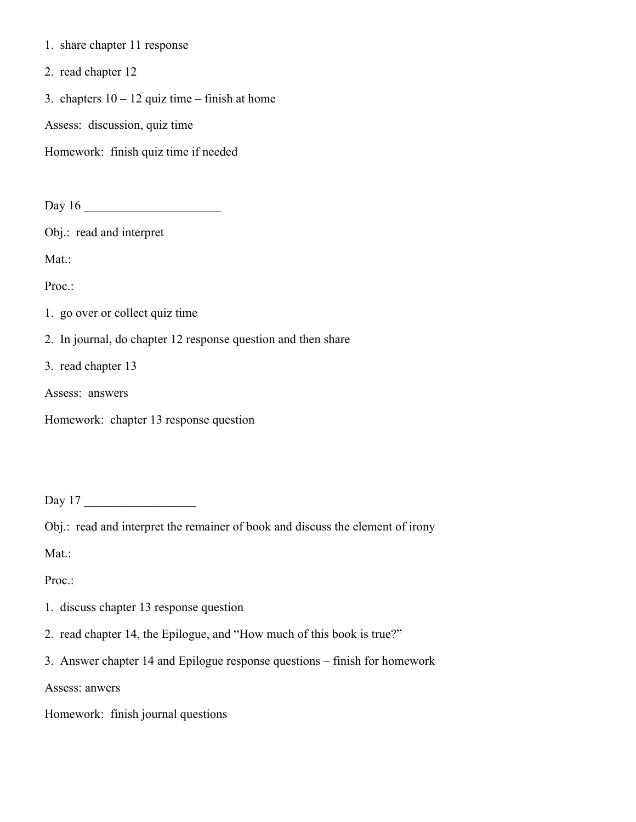- 1. share chapter 11 response
- 2. read chapter 12
- 3. chapters  $10 12$  quiz time finish at home

Assess: discussion, quiz time

Homework: finish quiz time if needed

Day 16 \_\_\_\_\_\_\_\_\_\_\_\_\_\_\_\_\_\_\_\_\_\_

Obj.: read and interpret

Mat.:

Proc.:

1. go over or collect quiz time

2. In journal, do chapter 12 response question and then share

3. read chapter 13

Assess: answers

Homework: chapter 13 response question

Day 17 \_\_\_\_\_\_\_\_\_\_\_\_\_\_\_\_\_\_

Obj.: read and interpret the remainer of book and discuss the element of irony

Mat.:

Proc.:

- 1. discuss chapter 13 response question
- 2. read chapter 14, the Epilogue, and "How much of this book is true?"
- 3. Answer chapter 14 and Epilogue response questions finish for homework

Assess: anwers

Homework: finish journal questions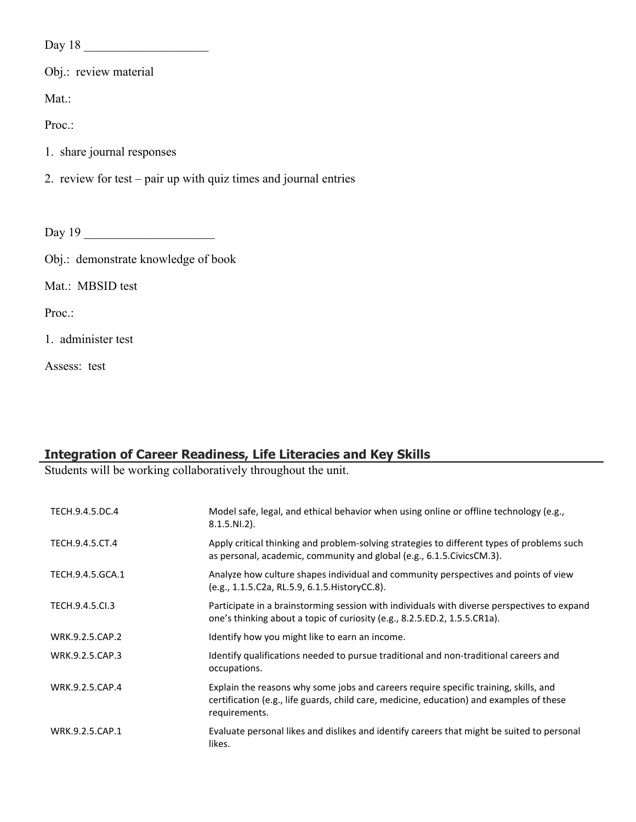Day 18 \_\_\_\_\_\_\_\_\_\_\_\_\_\_\_\_\_\_\_\_

Obj.: review material

Mat.:

Proc.:

- 1. share journal responses
- 2. review for test pair up with quiz times and journal entries

Day 19 \_\_\_\_\_\_\_\_\_\_\_\_\_\_\_\_\_\_\_\_\_

Obj.: demonstrate knowledge of book

Mat.: MBSID test

Proc.:

1. administer test

Assess: test

# **Integration of Career Readiness, Life Literacies and Key Skills**

Students will be working collaboratively throughout the unit.

| TECH.9.4.5.DC.4  | Model safe, legal, and ethical behavior when using online or offline technology (e.g.,<br>$8.1.5.NI.2$ ).                                                                                         |
|------------------|---------------------------------------------------------------------------------------------------------------------------------------------------------------------------------------------------|
| TECH.9.4.5.CT.4  | Apply critical thinking and problem-solving strategies to different types of problems such<br>as personal, academic, community and global (e.g., 6.1.5. Civics CM.3).                             |
| TECH.9.4.5.GCA.1 | Analyze how culture shapes individual and community perspectives and points of view<br>(e.g., 1.1.5.C2a, RL.5.9, 6.1.5. History CC.8).                                                            |
| TECH.9.4.5.Cl.3  | Participate in a brainstorming session with individuals with diverse perspectives to expand<br>one's thinking about a topic of curiosity (e.g., 8.2.5.ED.2, 1.5.5.CR1a).                          |
| WRK.9.2.5.CAP.2  | Identify how you might like to earn an income.                                                                                                                                                    |
| WRK.9.2.5.CAP.3  | Identify qualifications needed to pursue traditional and non-traditional careers and<br>occupations.                                                                                              |
| WRK.9.2.5.CAP.4  | Explain the reasons why some jobs and careers require specific training, skills, and<br>certification (e.g., life guards, child care, medicine, education) and examples of these<br>requirements. |
| WRK.9.2.5.CAP.1  | Evaluate personal likes and dislikes and identify careers that might be suited to personal<br>likes.                                                                                              |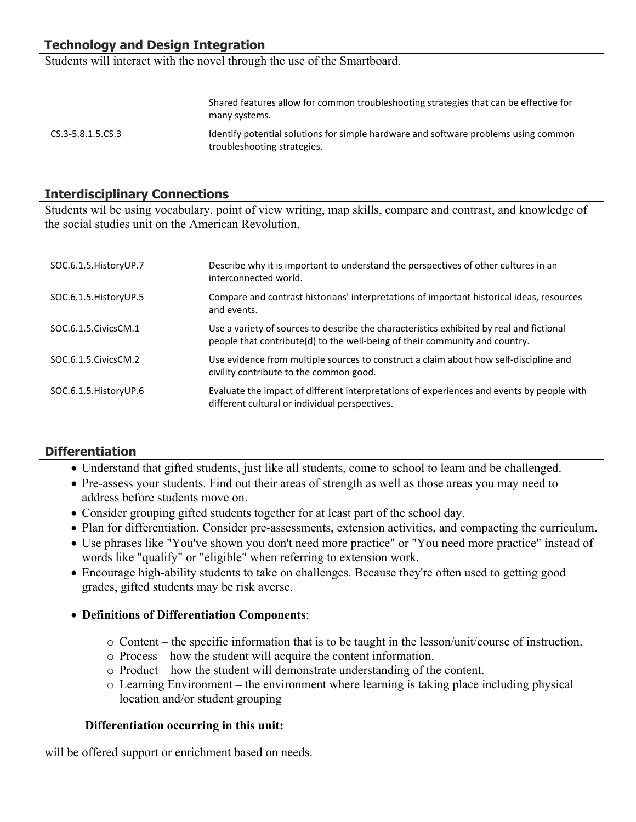# **Technology and Design Integration**

Students will interact with the novel through the use of the Smartboard.

|                       | many systems.                                                                                                      |
|-----------------------|--------------------------------------------------------------------------------------------------------------------|
| $CS.3 - 5.8.1.5.CS.3$ | Identify potential solutions for simple hardware and software problems using common<br>troubleshooting strategies. |

Shared features allow for common troubleshooting strategies that can be effective for

## **Interdisciplinary Connections**

Students wil be using vocabulary, point of view writing, map skills, compare and contrast, and knowledge of the social studies unit on the American Revolution.

| SOC.6.1.5. History UP.7 | Describe why it is important to understand the perspectives of other cultures in an<br>interconnected world.                                                            |
|-------------------------|-------------------------------------------------------------------------------------------------------------------------------------------------------------------------|
| SOC.6.1.5. History UP.5 | Compare and contrast historians' interpretations of important historical ideas, resources<br>and events.                                                                |
| SOC.6.1.5.CivicsCM.1    | Use a variety of sources to describe the characteristics exhibited by real and fictional<br>people that contribute(d) to the well-being of their community and country. |
| SOC.6.1.5.CivicsCM.2    | Use evidence from multiple sources to construct a claim about how self-discipline and<br>civility contribute to the common good.                                        |
| SOC.6.1.5. History UP.6 | Evaluate the impact of different interpretations of experiences and events by people with<br>different cultural or individual perspectives.                             |

## **Differentiation**

- Understand that gifted students, just like all students, come to school to learn and be challenged.
- Pre-assess your students. Find out their areas of strength as well as those areas you may need to address before students move on.
- Consider grouping gifted students together for at least part of the school day.
- Plan for differentiation. Consider pre-assessments, extension activities, and compacting the curriculum.
- Use phrases like "You've shown you don't need more practice" or "You need more practice" instead of words like "qualify" or "eligible" when referring to extension work.
- Encourage high-ability students to take on challenges. Because they're often used to getting good grades, gifted students may be risk averse.
- **Definitions of Differentiation Components**:
	- o Content the specific information that is to be taught in the lesson/unit/course of instruction.
	- o Process how the student will acquire the content information.
	- o Product how the student will demonstrate understanding of the content.
	- o Learning Environment the environment where learning is taking place including physical location and/or student grouping

## **Differentiation occurring in this unit:**

will be offered support or enrichment based on needs.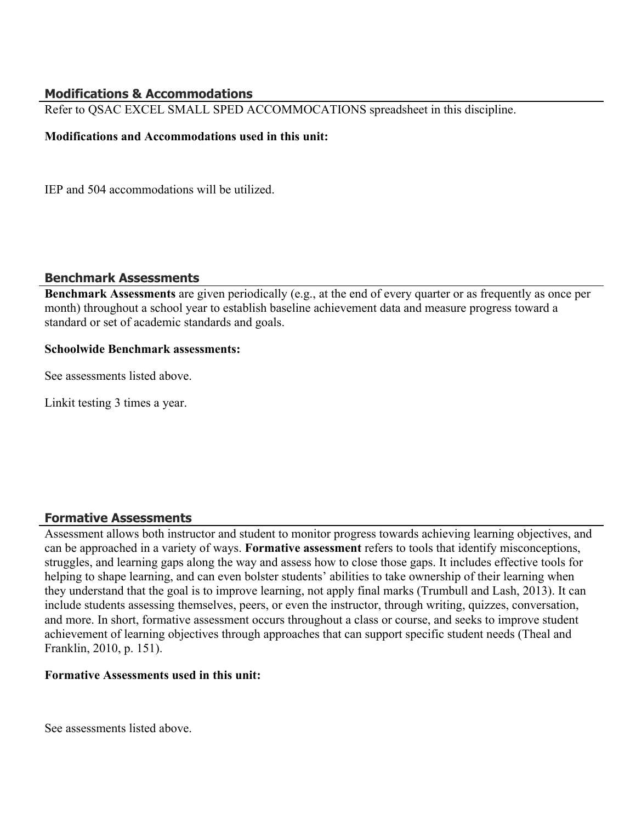## **Modifications & Accommodations**

Refer to QSAC EXCEL SMALL SPED ACCOMMOCATIONS spreadsheet in this discipline.

#### **Modifications and Accommodations used in this unit:**

IEP and 504 accommodations will be utilized.

#### **Benchmark Assessments**

**Benchmark Assessments** are given periodically (e.g., at the end of every quarter or as frequently as once per month) throughout a school year to establish baseline achievement data and measure progress toward a standard or set of academic standards and goals.

## **Schoolwide Benchmark assessments:**

See assessments listed above.

Linkit testing 3 times a year.

## **Formative Assessments**

Assessment allows both instructor and student to monitor progress towards achieving learning objectives, and can be approached in a variety of ways. **Formative assessment** refers to tools that identify misconceptions, struggles, and learning gaps along the way and assess how to close those gaps. It includes effective tools for helping to shape learning, and can even bolster students' abilities to take ownership of their learning when they understand that the goal is to improve learning, not apply final marks (Trumbull and Lash, 2013). It can include students assessing themselves, peers, or even the instructor, through writing, quizzes, conversation, and more. In short, formative assessment occurs throughout a class or course, and seeks to improve student achievement of learning objectives through approaches that can support specific student needs (Theal and Franklin, 2010, p. 151).

#### **Formative Assessments used in this unit:**

See assessments listed above.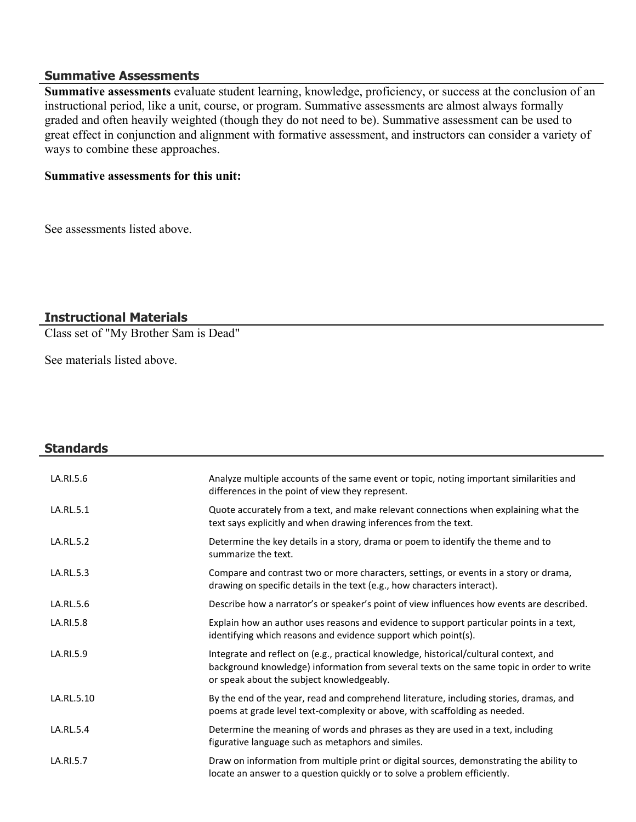#### **Summative Assessments**

**Summative assessments** evaluate student learning, knowledge, proficiency, or success at the conclusion of an instructional period, like a unit, course, or program. Summative assessments are almost always formally graded and often heavily weighted (though they do not need to be). Summative assessment can be used to great effect in conjunction and alignment with formative assessment, and instructors can consider a variety of ways to combine these approaches.

#### **Summative assessments for this unit:**

See assessments listed above.

## **Instructional Materials**

Class set of "My Brother Sam is Dead"

See materials listed above.

| <b>Standards</b> |                                                                                                                                                                                                                                |
|------------------|--------------------------------------------------------------------------------------------------------------------------------------------------------------------------------------------------------------------------------|
| LA.RI.5.6        | Analyze multiple accounts of the same event or topic, noting important similarities and<br>differences in the point of view they represent.                                                                                    |
| LA.RL.5.1        | Quote accurately from a text, and make relevant connections when explaining what the<br>text says explicitly and when drawing inferences from the text.                                                                        |
| LA.RL.5.2        | Determine the key details in a story, drama or poem to identify the theme and to<br>summarize the text.                                                                                                                        |
| LA.RL.5.3        | Compare and contrast two or more characters, settings, or events in a story or drama,<br>drawing on specific details in the text (e.g., how characters interact).                                                              |
| LA.RL.5.6        | Describe how a narrator's or speaker's point of view influences how events are described.                                                                                                                                      |
| LA.RI.5.8        | Explain how an author uses reasons and evidence to support particular points in a text,<br>identifying which reasons and evidence support which point(s).                                                                      |
| LA.RI.5.9        | Integrate and reflect on (e.g., practical knowledge, historical/cultural context, and<br>background knowledge) information from several texts on the same topic in order to write<br>or speak about the subject knowledgeably. |
| LA.RL.5.10       | By the end of the year, read and comprehend literature, including stories, dramas, and<br>poems at grade level text-complexity or above, with scaffolding as needed.                                                           |
| LA.RL.5.4        | Determine the meaning of words and phrases as they are used in a text, including<br>figurative language such as metaphors and similes.                                                                                         |
| LA.RI.5.7        | Draw on information from multiple print or digital sources, demonstrating the ability to<br>locate an answer to a question quickly or to solve a problem efficiently.                                                          |